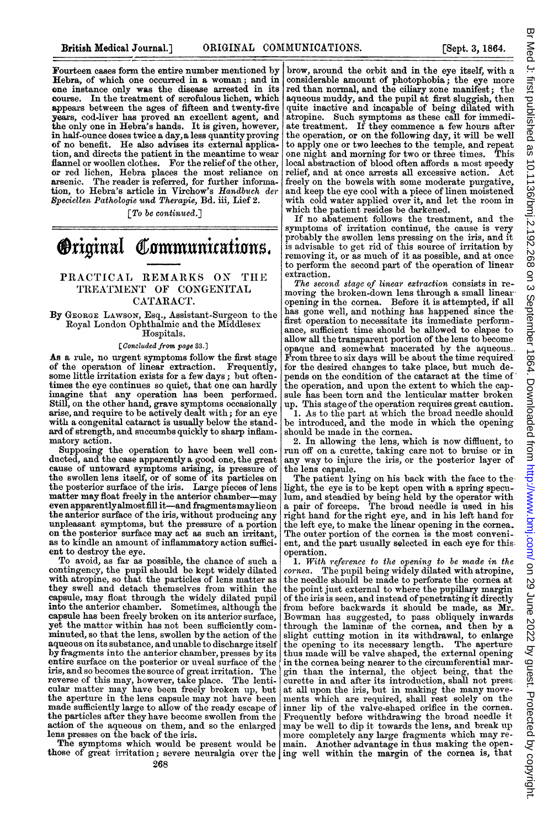Fourteen cases form the entire number mentioned by Hebra, of which one occurred in a woman; and in one instance only was the disease arrested in its course. In the treatment of scrofulous lichen, which appears between the ages of fifteen and twenty-five years, cod-liver has proved an excellent agent, and the only one in Hebra's hands. It is given, however, in half-ounce doses twice a day, a less quantity proving of no benefit. He also advises its external application, and directs the patient in the meantime to wear flannel or woollen clothes. For the relief of the other, or red lichen, Hebra places the most reliance on The reader is referred, for further information, to Hebra's article in Virchow's Handbuch der Speciellen Pathologie und Therapie, Bd. iii, Lief 2.

[To be continued.]

# **O**riginal Communications.

### PRACTICAL REMARKS ON THE TREATMENT OF CONGENITAL CATARACT.

## By GEORGE LAWSON, Esq., Assistant-Surgeon to the Royal London Ophthalmic and the Middlesex Hospitals.

### [Concluded from page 83.]

As a rule, no urgent symptoms follow the first stage of the operation of linear extraction. Frequently, some little irritation exists for a few days; but oftentimes the eye continues so quiet, that one can haxdly imagine that any operation has been performed. Still, on the other hand, grave symptoms occasionally arise, and require to be actively dealt with; for an eye with a congenital cataract is usually below the standard of strength, and succumbs quickly to sharp inflammatory action.

Supposing the operation to have been well conducted, and the case apparently a good one, the great cause of untoward symptoms arising, is pressure of the swollen lens itself, or of some of its particles on the posterior surface of the iris. Large pieces of lens matter may float freely in the anterior chamber-may even apparently almost fill it-and fragments may lie on the anterior surface of the iris, without producing any unpleasant symptoms, but the pressure of a portion on the posterior surface may act as such an irritant, as to kindle an amount of inflammatory action sufficient to destroy the eye.

To avoid, as far as possible, the chance of such a contingency, the pupil should be kept widely dilated with atropine, so that the particles of lens matter as they swell and detach themselves from within the capsule, may float through the widely dilated pupil into the anterior chamber. Sometimes, although the capsule has been freely broken on its anterior surface, yet the matter within has not been sufficiently comminuted, so that the lens, swollen by the action of the aqueous on its substance, and unable to discharge itself by fragments into the anterior chamber, presses by its entire surface on the posterior or uveal surface of the iris, and so becomes the source of great irritation. The reverse of this may, however, take place. The lenticular matter may have been freely broken up, but the aperture in the lens capsule may not have been made sufficiently large to allow of the ready escape of the particles after they have become swollen from the action of the aqueous on them, and so the enlarged lens presses on the back of the iris.

The symptoms which would be present would be those of great irritation; severe neuralgia over the ling well within the margin of the cornea is, that

brow, around the orbit and in the eye itself, with a considerable amount of photophobia; the eye more red than normal, and the ciliary zone manifest; the aqueous muddy, and the pupil at first sluggish, then quite inactive and incapable of being dilated with atropine. Such symptoms as these call for immedi-ate treatment. If they commence a few hours after the operation, or on the following day, it will be well to apply one or two leeches to the temple, and repeat one night and morning for two or three times. local abstraction of blood often affords a most speedy relief, and at once arrests all excessive action. Act freely on the bowels with some moderate purgative, and keep the eye cool with a piece of linen moistened with cold water applied over it, and let the room in which the patient resides be darkened.

If no abatement follows the treatment, and thesymptoms of irritation continue, the cause is very probably the swollen lens pressing on the iris, and it is advisable to get rid of this source of irritation by removing it, or as much of it as possible, and at onceto perform the second part of the operation of linear extraction.

The second stage of linear extraction consists in removing the broken-down lens through a small linear opening in the cornea. Before it is attempted, if all has gone well, and nothing has happened since thefirst operation to necessitate its immediate perform-ance, sufficient time should be allowed to elapse to allow all the transparent portion of the lens to become opaque and somewhat macerated by the aqueous. From three to six days will be about the time required for the desired changes to take place, but much depends on the condition of the cataract at the time of the operation, and upon the extent to which the capsule has been torn and the lenticular matter broken

up. This stage of the operation requires great caution. 1. As to the part at which the broad needle should be introduced, and the mode in which the opening should be made in the cornea.

2. In allowing the lens, which is now diffluent, to run off on a curette, taking care not to brulise or in any way to injure the iris, or the posterior layer of the lens capsule.

The patient lying on his back with the face to the light, the eye is to be kept open with a spring speculum, and steadied by being held by the operator with a pair of forceps. The broad needle is used in his right hand for the right eye, and in his left hand for the left eye, to make the linear opening in the cornea. The outer portion of the cornea is the most convenient, and the part usually selected in each eye for this. operation.

1. With reference to the opening to be made in the cornea. The pupil being widely dilated with atropine, the needle should be made to perforate the cornea at the point just external to where the pupillary margin of the iris is seen, and instead of penetrating it directly fiom before backwards it should be made, as Mr.. Bowman has suggested, to pass obliquely inwards through the laminse of the cornea, and then by a slight cutting motion in its withdrawal, to enlarge the opening to its necessary length. The aperture thus made will be valve shaped, the external opening in the cornea being nearer to the circumferential margin than the internal, the object being, that the curette in and after its introduction, shall not press at all upon the iris, but in making the many movements which are required, shall rest solely on the inner lip of the valve-shaped orifice in the cornea. Frequently before withdrawing the broad needle it may be well to dip it towards the lens, and break up more completely any large fragments which may re-main. Another advantage in thus making the open-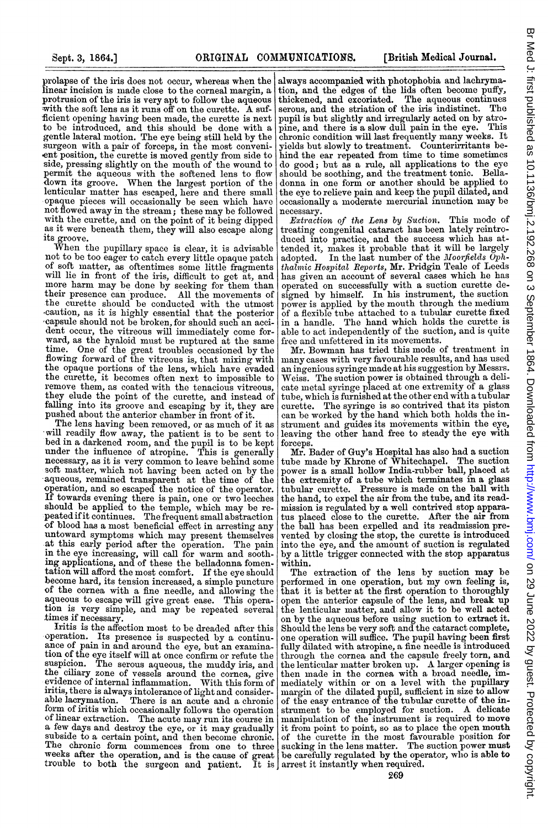[British Medical Journal.

prolapse of the iris does not occur, whereas when the linear incision is made close to the corneal margin, a protrusion of the iris is very apt to follow the aqueous with the soft lens as it runs off on the curette. A sufficient opening having been made, the curette is next to be introduced, and this should be done with a gentle lateral motion. The eye being still held by the surgeon with a pair of forceps, in the most convenient position, the curette is moved gently from side to side, pressing slightly on the mouth of the wound to permit the aqueous with the softened lens to flow down its groove. When the largest portion of the lenticular matter has escaped, here and there small opaque pieces will occasionally be seen which have not flowed away in the stream; these may be followed with the curette, and on the point of it being dipped as it were beneath them, they will also escape along

its groove. When the pupillary space is clear, it is advisable iot to be too eager to catch every little opaque patch of soft matter, as oftentimes some little fragments will lie in front of the iris, difficult to get at, and more harm may be done by seeking for them than their presence can produce. All the movements of the curette should be conducted with the utmost caution, as it is highly essential that the posterior capsule should not be broken, for should such an accident occur, the vitreous will immediately come for-ward, as the hyaloid must be ruptured at the same time. One of the great troubles occasioned by the flowing forward of the vitreous is, that mixing with the opaque portions of the lens, which have evaded the curette, it becomes often next to impossible to remove them, as coated with the tenacious vitreous, they elude the point of the curette, and instead of falling into its groove and escaping by it, they are pushed about the anterior chamber in front of it.

The lens having been removed, or as much of it as will readily flow away, the patient is to be sent to bed in a darkened room, and the pupil is to be kept under the influence of atropine. This is generally necessary, as it is very common to leave behind some soft matter, which not having been acted on by the aqueous, remained transparent at the time of the operation, and so escaped the notice of the operator. If towards evening there is pain, one or two leeches should be applied to the temple, which may be re-peated if it continues. The frequent small abstraction of blood has <sup>a</sup> most beneficial effect in arresting any untoward symptoms which may present themselves at this early period after the operation. The pain in the eye increasing, will call for warm and soothing applications, and of these the belladonna fomentation will afford the most comfort. If the eye should become hard, its tension increased, a simple puncture of the cornea with a fine needle, and allowing the aqueous to escape will give great ease. This operation is very simple, and may be repeated several times if necessary.

Iritis is the affection most to be dreaded after this operation. Its presence is suspected by a continuance of pain in and around the eye, but an examina- tion of the eye itself will at once confirm or refute the suspicion. The serous aqueous, the muddy iris, and the ciliary zone of vessels around the cornea, give evidence of internal inflammation. With this form of iritis, there is always intolerance of light and consider-<br>able lacrymation. There is an acute and a chronic form of iritis which occasionally follows the operation<br>of linear extraction. The acute may run its course in <sup>a</sup> few days and destroy the eye, or it may gradually subside to <sup>a</sup> certain point, and then become chronic. The chronic form commences from one to three weeks after the operation, and is the cause of great  $\vert$  be carefully regulated by the operation both the surgeon and patient. It is arrest it instantly when required.

always accompanied with photophobia and lachrymation, and the edges of the lids often become puffy, thickened, and excoriated. The aqueous continues serous, and the striation of the iris indistinct. The pupil is but slightly and irregularly acted on by atropine, and there is a slow dull pain in the eye. This chronic condition will last frequently many weeks. It yields but slowly to treatment. Counterirritants behind the ear repeated from time to time sometimes do good; but as a rule, all applications to the eye should be soothing, and the treatment tonic. Belladonna in one form or another should be applied to the eye to relieve pain and keep the pupil dilated, and occasionally a moderate mercurial inunction may be necessary.

Extraction of the Lens by Suction. This mode of treating congenital cataract has been lately reintroduced into practice, and the success which has attended it, makes it probable that it will be largely adopted. In the last number of the Moorfields Ophthalmnic Hospital Reports, Mr. Pridgin Teale of Leeds has given an account of several cases which he has operated on successfully with a suction curette designed by himself. In his instrument, the suction power is applied by the mouth through the medium<br>of a flexible tube attached to a tubular curette fixed in a handle. The hand which holds the curette is able to act independently of the suction, and is quite free and unfettered in its movements.

Mr. Bowman has tried this mode of treatment in many cases with very favourable results, and has used an ingenious syringe made at his suggestion by Messrs. Weiss. The suction power is obtained through a delicate metal syringe placed at one extremity of a glass tube, which is furnished at the other end with a tubular curette. The syringe is so contrived that its piston can be worked by the hand which both holds the instrument and guides its movements within the eye, leaving the other hand free to steady the eye with forceps.

Mr. Bader of Guy's Hospital has also had a suction tube made by Khrone of Whitechapel. The suction power is a small hollow India-rubber ball, placed at the extremity of a tube which terminates in a glass tubular curette. Pressure is made on the ball with the hand, to expel the air from the tube, and its readmission is regulated by a well contrived stop apparatus placed close to the curette. After the air from the ball has been expelled and its readmission prevented by closing the stop, the curette is introduced into the eye, and the amount of suction is regulated by a little trigger connected with the stop apparatus within.

The extraction of the lens by suction may be performed in one operation, but my own feeling is, that it is better at the first operation to thoroughly open the anterior capsule of the lens, and break up the lenticular matter, and allow it to be well acted on by the aqueous before using suction to extract it. Should the lens be very soft and the cataract complete, one operation will suffice. The pupil having been first fully dilated with atropine, a fine needle is introduced through the cornea and the capsule freely torn, and the lenticular matter broken up. A larger opening is then made in the cornea with a broad needle, immediately within or on a level with the pupillary margin of the dilated pupil, sufficient in size to allow of the easy entrance of the tubular curette of the instrument to be employed for suction. A delicate manipulation of the instrument is required to move it from point to point, so as to place the open mouth of the curette in the most favourable position for sucking in the lens matter. The suction power must be carefully regulated by the operator, who is able to